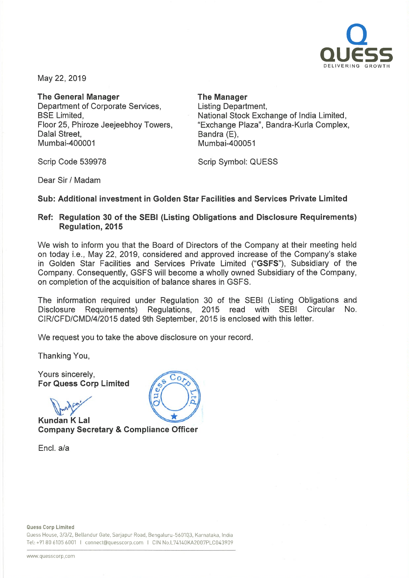

May 22, 2019

The General Manager Department of Corporate Services, BSE Limited, Floor 25, Phiroze Jeejeebhoy Towers, Dalal Street, Mumbai-400001

The Manager

Listing Department, National Stock Exchange of India Limited, "Exchange Plaza", Bandra-Kurla Complex, Bandra (E). Mumbai-400051

Scrip Code 539978

Scrip Symbol: QUESS

Dear Sir / Madam

## Sub: Additional investment in Golden Star Facilities and Services Private Limited

## Ref: Regulation 30 of the SEBI (Listing Obligations and Disclosure Requirements) Regulation, 2015

We wish to inform you that the Board of Directors of the Company at their meeting held on today i.e., May 22, 2019, considered and approved increase of the Company's stake in Golden Star Facilities and Services Private Limited ("GSFS"), Subsidiary of the Company. Consequently, GSFS will become <sup>a</sup> wholly owned Subsidiary of the Company, on completion of the acquisition of balance shares in GSFS.

The information required under Regulation 30 of the SEBI (Listing Obligations and Disclosure Requirements) Regulations, 2015 read with SEBI Circular No. CIR/CFD/CMD/4/2015 dated 9th September, 2015 is enclosed with this letter.

We request you to take the above disclosure on your record.

Thanking You,

Yours sincerely, For Quess Corp Limited

**Pro** 

Kundan K Lal Company Secretary & Compliance Officer

Encl. a/a



Quess House, 3/3/2, Bellandur Gate, Sarjapur Road, Bengaluru-560103, Karnataka, India Tel: +91 80 6105 6001 I connect@quesscorp.com I CIN No.L74140KA2007PLC043909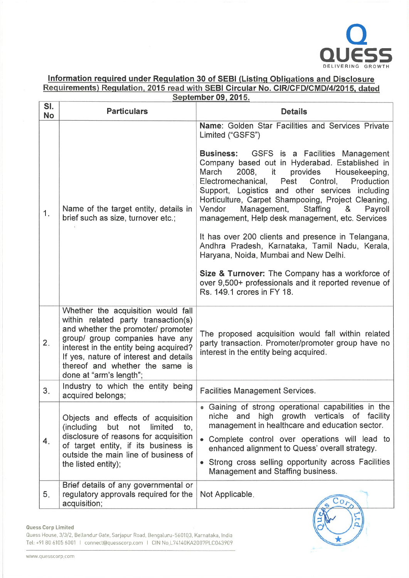

## Information required under Regulation 30 of SEBI (Listing Obligations and Disclos Requirements) Regulation, 2015 read with SEBI Circular No. CIR/CFD/CMD/4/2015, date

| September 09, 2015. |                                                                                                                                                                                                                                                                                                      |                                                                                                                                                                                                                                                                                                                                                                                                                                                                                                                                                                                                                                                                                                                                                                                                          |  |  |  |  |  |
|---------------------|------------------------------------------------------------------------------------------------------------------------------------------------------------------------------------------------------------------------------------------------------------------------------------------------------|----------------------------------------------------------------------------------------------------------------------------------------------------------------------------------------------------------------------------------------------------------------------------------------------------------------------------------------------------------------------------------------------------------------------------------------------------------------------------------------------------------------------------------------------------------------------------------------------------------------------------------------------------------------------------------------------------------------------------------------------------------------------------------------------------------|--|--|--|--|--|
| SI.<br><b>No</b>    | <b>Particulars</b>                                                                                                                                                                                                                                                                                   | <b>Details</b>                                                                                                                                                                                                                                                                                                                                                                                                                                                                                                                                                                                                                                                                                                                                                                                           |  |  |  |  |  |
| 1.                  | Name of the target entity, details in<br>brief such as size, turnover etc.;                                                                                                                                                                                                                          | Name: Golden Star Facilities and Services Private<br>Limited ("GSFS")<br><b>Business:</b> GSFS is a Facilities Management<br>Company based out in Hyderabad. Established in<br>March<br>2008, it<br>provides Housekeeping,<br>Electromechanical, Pest<br>Control,<br><b>Production</b><br>Support, Logistics and other services including<br>Horticulture, Carpet Shampooing, Project Cleaning,<br>Management,<br>Vendor<br><b>Staffing</b><br>&<br>Payroll<br>management, Help desk management, etc. Services<br>It has over 200 clients and presence in Telangana,<br>Andhra Pradesh, Karnataka, Tamil Nadu, Kerala,<br>Haryana, Noida, Mumbai and New Delhi.<br>Size & Turnover: The Company has a workforce of<br>over 9,500+ professionals and it reported revenue of<br>Rs. 149.1 crores in FY 18. |  |  |  |  |  |
| 2.                  | Whether the acquisition would fall<br>within related party transaction(s)<br>and whether the promoter/ promoter<br>group/ group companies have any<br>interest in the entity being acquired?<br>If yes, nature of interest and details<br>thereof and whether the same is<br>done at "arm's length"; | The proposed acquisition would fall within related<br>party transaction. Promoter/promoter group have no<br>interest in the entity being acquired.                                                                                                                                                                                                                                                                                                                                                                                                                                                                                                                                                                                                                                                       |  |  |  |  |  |
| 3.                  | Industry to which the entity being<br>acquired belongs;                                                                                                                                                                                                                                              | <b>Facilities Management Services.</b>                                                                                                                                                                                                                                                                                                                                                                                                                                                                                                                                                                                                                                                                                                                                                                   |  |  |  |  |  |
| $\mathbf{4}$ .      | Objects and effects of acquisition<br>(including<br>but<br>not<br>limited<br>to,<br>disclosure of reasons for acquisition<br>of target entity, if its business is<br>outside the main line of business of<br>the listed entity);                                                                     | • Gaining of strong operational capabilities in the<br>niche and high growth verticals of facility<br>management in healthcare and education sector.<br>• Complete control over operations will lead to<br>enhanced alignment to Quess' overall strategy.<br>• Strong cross selling opportunity across Facilities<br>Management and Staffing business.                                                                                                                                                                                                                                                                                                                                                                                                                                                   |  |  |  |  |  |
| 5.                  | Brief details of any governmental or<br>regulatory approvals required for the<br>acquisition;                                                                                                                                                                                                        | Not Applicable.                                                                                                                                                                                                                                                                                                                                                                                                                                                                                                                                                                                                                                                                                                                                                                                          |  |  |  |  |  |

Quess House, 3/3/2, Bellandur Gate, Sarjapur Road, Bengaluru-560103, Karnataka, India Tel: +91 80 6105 6001 I connect@quesscorp.com I CIN No.L74140KA2007PLC043909